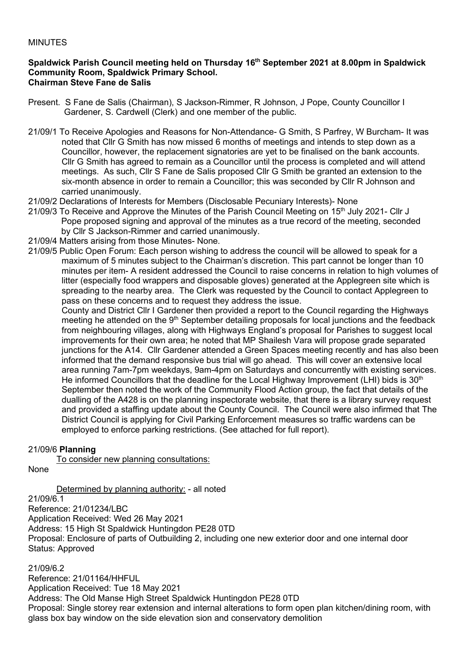#### MINUTES

#### **Spaldwick Parish Council meeting held on Thursday 16 th September 2021 at 8.00pm in Spaldwick Community Room, Spaldwick Primary School. Chairman Steve Fane de Salis**

- Present. S Fane de Salis (Chairman), S Jackson-Rimmer, R Johnson, J Pope, County Councillor I Gardener, S. Cardwell (Clerk) and one member of the public.
- 21/09/1 To Receive Apologies and Reasons for Non-Attendance- G Smith, S Parfrey, W Burcham- It was noted that Cllr G Smith has now missed 6 months of meetings and intends to step down as a Councillor, however, the replacement signatories are yet to be finalised on the bank accounts. Cllr G Smith has agreed to remain as a Councillor until the process is completed and will attend meetings. As such, Cllr S Fane de Salis proposed Cllr G Smith be granted an extension to the six-month absence in order to remain a Councillor; this was seconded by Cllr R Johnson and carried unanimously.
- 21/09/2 Declarations of Interests for Members (Disclosable Pecuniary Interests)- None
- 21/09/3 To Receive and Approve the Minutes of the Parish Council Meeting on 15<sup>th</sup> July 2021- Cllr J Pope proposed signing and approval of the minutes as a true record of the meeting, seconded by Cllr S Jackson-Rimmer and carried unanimously.
- 21/09/4 Matters arising from those Minutes- None.
- 21/09/5 Public Open Forum: Each person wishing to address the council will be allowed to speak for a maximum of 5 minutes subject to the Chairman's discretion. This part cannot be longer than 10 minutes per item- A resident addressed the Council to raise concerns in relation to high volumes of litter (especially food wrappers and disposable gloves) generated at the Applegreen site which is spreading to the nearby area. The Clerk was requested by the Council to contact Applegreen to pass on these concerns and to request they address the issue.
	- County and District Cllr I Gardener then provided a report to the Council regarding the Highways meeting he attended on the 9<sup>th</sup> September detailing proposals for local junctions and the feedback from neighbouring villages, along with Highways England's proposal for Parishes to suggest local improvements for their own area; he noted that MP Shailesh Vara will propose grade separated junctions for the A14. Cllr Gardener attended a Green Spaces meeting recently and has also been informed that the demand responsive bus trial will go ahead. This will cover an extensive local area running 7am-7pm weekdays, 9am-4pm on Saturdays and concurrently with existing services. He informed Councillors that the deadline for the Local Highway Improvement (LHI) bids is 30<sup>th</sup> September then noted the work of the Community Flood Action group, the fact that details of the dualling of the A428 is on the planning inspectorate website, that there is a library survey request and provided a staffing update about the County Council. The Council were also infirmed that The District Council is applying for Civil Parking Enforcement measures so traffic wardens can be employed to enforce parking restrictions. (See attached for full report).

## 21/09/6 **Planning**

To consider new planning consultations:

None

Determined by planning authority: - all noted

21/09/6.1

Reference: 21/01234/LBC Application Received: Wed 26 May 2021 Address: 15 High St Spaldwick Huntingdon PE28 0TD Proposal: Enclosure of parts of Outbuilding 2, including one new exterior door and one internal door Status: Approved

## 21/09/6.2

Reference: 21/01164/HHFUL Application Received: Tue 18 May 2021 Address: The Old Manse High Street Spaldwick Huntingdon PE28 0TD Proposal: Single storey rear extension and internal alterations to form open plan kitchen/dining room, with glass box bay window on the side elevation sion and conservatory demolition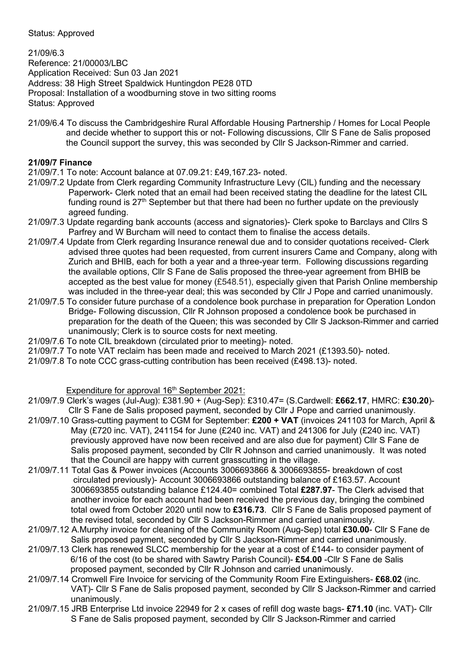Status: Approved

21/09/6.3 Reference: 21/00003/LBC Application Received: Sun 03 Jan 2021 Address: 38 High Street Spaldwick Huntingdon PE28 0TD Proposal: Installation of a woodburning stove in two sitting rooms Status: Approved

21/09/6.4 To discuss the Cambridgeshire Rural Affordable Housing Partnership / Homes for Local People and decide whether to support this or not- Following discussions, Cllr S Fane de Salis proposed the Council support the survey, this was seconded by Cllr S Jackson-Rimmer and carried.

## **21/09/7 Finance**

- 21/09/7.1 To note: Account balance at 07.09.21: £49,167.23- noted.
- 21/09/7.2 Update from Clerk regarding Community Infrastructure Levy (CIL) funding and the necessary Paperwork- Clerk noted that an email had been received stating the deadline for the latest CIL funding round is  $27<sup>th</sup>$  September but that there had been no further update on the previously agreed funding.
- 21/09/7.3 Update regarding bank accounts (access and signatories)- Clerk spoke to Barclays and Cllrs S Parfrey and W Burcham will need to contact them to finalise the access details.
- 21/09/7.4 Update from Clerk regarding Insurance renewal due and to consider quotations received- Clerk advised three quotes had been requested, from current insurers Came and Company, along with Zurich and BHIB, each for both a year and a three-year term. Following discussions regarding the available options, Cllr S Fane de Salis proposed the three-year agreement from BHIB be accepted as the best value for money (£548.51), especially given that Parish Online membership was included in the three-year deal; this was seconded by Cllr J Pope and carried unanimously.
- 21/09/7.5 To consider future purchase of a condolence book purchase in preparation for Operation London Bridge- Following discussion, Cllr R Johnson proposed a condolence book be purchased in preparation for the death of the Queen; this was seconded by Cllr S Jackson-Rimmer and carried unanimously; Clerk is to source costs for next meeting.
- 21/09/7.6 To note CIL breakdown (circulated prior to meeting)- noted.
- 21/09/7.7 To note VAT reclaim has been made and received to March 2021 (£1393.50)- noted.
- 21/09/7.8 To note CCC grass-cutting contribution has been received (£498.13)- noted.

Expenditure for approval 16<sup>th</sup> September 2021:

21/09/7.9 Clerk's wages (Jul-Aug): £381.90 + (Aug-Sep): £310.47= (S.Cardwell: **£662.17**, HMRC: **£30.20**)- Cllr S Fane de Salis proposed payment, seconded by Cllr J Pope and carried unanimously.

- 21/09/7.10 Grass-cutting payment to CGM for September: **£200 + VAT** (invoices 241103 for March, April & May (£720 inc. VAT), 241154 for June (£240 inc. VAT) and 241306 for July (£240 inc. VAT) previously approved have now been received and are also due for payment) Cllr S Fane de Salis proposed payment, seconded by Cllr R Johnson and carried unanimously. It was noted that the Council are happy with current grasscutting in the village.
- 21/09/7.11 Total Gas & Power invoices (Accounts 3006693866 & 3006693855- breakdown of cost circulated previously)- Account 3006693866 outstanding balance of £163.57. Account 3006693855 outstanding balance £124.40= combined Total **£287.97**- The Clerk advised that another invoice for each account had been received the previous day, bringing the combined total owed from October 2020 until now to **£316.73**. Cllr S Fane de Salis proposed payment of the revised total, seconded by Cllr S Jackson-Rimmer and carried unanimously.
- 21/09/7.12 A.Murphy invoice for cleaning of the Community Room (Aug-Sep) total **£30.00** Cllr S Fane de Salis proposed payment, seconded by Cllr S Jackson-Rimmer and carried unanimously.
- 21/09/7.13 Clerk has renewed SLCC membership for the year at a cost of £144- to consider payment of 6/16 of the cost (to be shared with Sawtry Parish Council)- **£54.00** -Cllr S Fane de Salis proposed payment, seconded by Cllr R Johnson and carried unanimously.
- 21/09/7.14 Cromwell Fire Invoice for servicing of the Community Room Fire Extinguishers- **£68.02** (inc. VAT)- Cllr S Fane de Salis proposed payment, seconded by Cllr S Jackson-Rimmer and carried unanimously.
- 21/09/7.15 JRB Enterprise Ltd invoice 22949 for 2 x cases of refill dog waste bags- **£71.10** (inc. VAT)- Cllr S Fane de Salis proposed payment, seconded by Cllr S Jackson-Rimmer and carried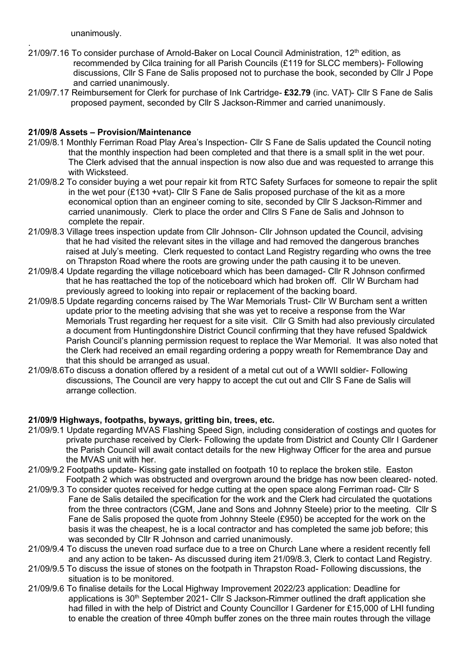unanimously.

- . 21/09/7.16 To consider purchase of Arnold-Baker on Local Council Administration, 12<sup>th</sup> edition, as recommended by Cilca training for all Parish Councils (£119 for SLCC members)- Following discussions, Cllr S Fane de Salis proposed not to purchase the book, seconded by Cllr J Pope and carried unanimously.
- 21/09/7.17 Reimbursement for Clerk for purchase of Ink Cartridge- **£32.79** (inc. VAT)- Cllr S Fane de Salis proposed payment, seconded by Cllr S Jackson-Rimmer and carried unanimously.

## **21/09/8 Assets – Provision/Maintenance**

- 21/09/8.1 Monthly Ferriman Road Play Area's Inspection- Cllr S Fane de Salis updated the Council noting that the monthly inspection had been completed and that there is a small split in the wet pour. The Clerk advised that the annual inspection is now also due and was requested to arrange this with Wicksteed.
- 21/09/8.2 To consider buying a wet pour repair kit from RTC Safety Surfaces for someone to repair the split in the wet pour (£130 +vat)- Cllr S Fane de Salis proposed purchase of the kit as a more economical option than an engineer coming to site, seconded by Cllr S Jackson-Rimmer and carried unanimously. Clerk to place the order and Cllrs S Fane de Salis and Johnson to complete the repair.
- 21/09/8.3 Village trees inspection update from Cllr Johnson- Cllr Johnson updated the Council, advising that he had visited the relevant sites in the village and had removed the dangerous branches raised at July's meeting. Clerk requested to contact Land Registry regarding who owns the tree on Thrapston Road where the roots are growing under the path causing it to be uneven.
- 21/09/8.4 Update regarding the village noticeboard which has been damaged- Cllr R Johnson confirmed that he has reattached the top of the noticeboard which had broken off. Cllr W Burcham had previously agreed to looking into repair or replacement of the backing board.
- 21/09/8.5 Update regarding concerns raised by The War Memorials Trust- Cllr W Burcham sent a written update prior to the meeting advising that she was yet to receive a response from the War Memorials Trust regarding her request for a site visit. Cllr G Smith had also previously circulated a document from Huntingdonshire District Council confirming that they have refused Spaldwick Parish Council's planning permission request to replace the War Memorial. It was also noted that the Clerk had received an email regarding ordering a poppy wreath for Remembrance Day and that this should be arranged as usual.
- 21/09/8.6To discuss a donation offered by a resident of a metal cut out of a WWII soldier- Following discussions, The Council are very happy to accept the cut out and Cllr S Fane de Salis will arrange collection.

## **21/09/9 Highways, footpaths, byways, gritting bin, trees, etc.**

- 21/09/9.1 Update regarding MVAS Flashing Speed Sign, including consideration of costings and quotes for private purchase received by Clerk- Following the update from District and County Cllr I Gardener the Parish Council will await contact details for the new Highway Officer for the area and pursue the MVAS unit with her.
- 21/09/9.2 Footpaths update- Kissing gate installed on footpath 10 to replace the broken stile. Easton Footpath 2 which was obstructed and overgrown around the bridge has now been cleared- noted.
- 21/09/9.3 To consider quotes received for hedge cutting at the open space along Ferriman road- Cllr S Fane de Salis detailed the specification for the work and the Clerk had circulated the quotations from the three contractors (CGM, Jane and Sons and Johnny Steele) prior to the meeting. Cllr S Fane de Salis proposed the quote from Johnny Steele (£950) be accepted for the work on the basis it was the cheapest, he is a local contractor and has completed the same job before; this was seconded by Cllr R Johnson and carried unanimously.
- 21/09/9.4 To discuss the uneven road surface due to a tree on Church Lane where a resident recently fell and any action to be taken- As discussed during item 21/09/8.3, Clerk to contact Land Registry.
- 21/09/9.5 To discuss the issue of stones on the footpath in Thrapston Road- Following discussions, the situation is to be monitored.
- 21/09/9.6 To finalise details for the Local Highway Improvement 2022/23 application: Deadline for applications is 30<sup>th</sup> September 2021- Cllr S Jackson-Rimmer outlined the draft application she had filled in with the help of District and County Councillor I Gardener for £15,000 of LHI funding to enable the creation of three 40mph buffer zones on the three main routes through the village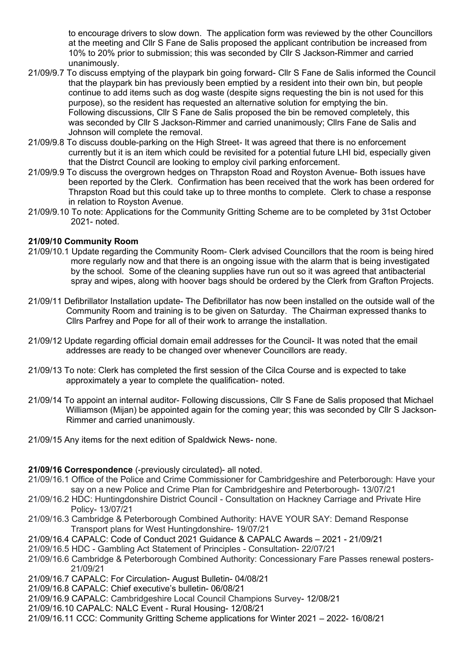to encourage drivers to slow down. The application form was reviewed by the other Councillors at the meeting and Cllr S Fane de Salis proposed the applicant contribution be increased from 10% to 20% prior to submission; this was seconded by Cllr S Jackson-Rimmer and carried unanimously.

- 21/09/9.7 To discuss emptying of the playpark bin going forward- Cllr S Fane de Salis informed the Council that the playpark bin has previously been emptied by a resident into their own bin, but people continue to add items such as dog waste (despite signs requesting the bin is not used for this purpose), so the resident has requested an alternative solution for emptying the bin. Following discussions, Cllr S Fane de Salis proposed the bin be removed completely, this was seconded by Cllr S Jackson-Rimmer and carried unanimously; Cllrs Fane de Salis and Johnson will complete the removal.
- 21/09/9.8 To discuss double-parking on the High Street- It was agreed that there is no enforcement currently but it is an item which could be revisited for a potential future LHI bid, especially given that the Distrct Council are looking to employ civil parking enforcement.
- 21/09/9.9 To discuss the overgrown hedges on Thrapston Road and Royston Avenue- Both issues have been reported by the Clerk. Confirmation has been received that the work has been ordered for Thrapston Road but this could take up to three months to complete. Clerk to chase a response in relation to Royston Avenue.
- 21/09/9.10 To note: Applications for the Community Gritting Scheme are to be completed by 31st October 2021- noted.

## **21/09/10 Community Room**

- 21/09/10.1 Update regarding the Community Room- Clerk advised Councillors that the room is being hired more regularly now and that there is an ongoing issue with the alarm that is being investigated by the school. Some of the cleaning supplies have run out so it was agreed that antibacterial spray and wipes, along with hoover bags should be ordered by the Clerk from Grafton Projects.
- 21/09/11 Defibrillator Installation update- The Defibrillator has now been installed on the outside wall of the Community Room and training is to be given on Saturday. The Chairman expressed thanks to Cllrs Parfrey and Pope for all of their work to arrange the installation.
- 21/09/12 Update regarding official domain email addresses for the Council- It was noted that the email addresses are ready to be changed over whenever Councillors are ready.
- 21/09/13 To note: Clerk has completed the first session of the Cilca Course and is expected to take approximately a year to complete the qualification- noted.
- 21/09/14 To appoint an internal auditor- Following discussions, Cllr S Fane de Salis proposed that Michael Williamson (Mijan) be appointed again for the coming year; this was seconded by Cllr S Jackson- Rimmer and carried unanimously.
- 21/09/15 Any items for the next edition of Spaldwick News- none.

## **21/09/16 Correspondence** (-previously circulated)- all noted.

- 21/09/16.1 Office of the Police and Crime Commissioner for Cambridgeshire and Peterborough: Have your say on a new Police and Crime Plan for Cambridgeshire and Peterborough- 13/07/21
- 21/09/16.2 HDC: Huntingdonshire District Council Consultation on Hackney Carriage and Private Hire Policy- 13/07/21
- 21/09/16.3 Cambridge & Peterborough Combined Authority: HAVE YOUR SAY: Demand Response Transport plans for West Huntingdonshire- 19/07/21
- 21/09/16.4 CAPALC: Code of Conduct 2021 Guidance & CAPALC Awards 2021 21/09/21
- 21/09/16.5 HDC Gambling Act Statement of Principles Consultation- 22/07/21
- 21/09/16.6 Cambridge & Peterborough Combined Authority: Concessionary Fare Passes renewal posters- 21/09/21
- 21/09/16.7 CAPALC: For Circulation- August Bulletin- 04/08/21
- 21/09/16.8 CAPALC: Chief executive's bulletin- 06/08/21
- 21/09/16.9 CAPALC: Cambridgeshire Local Council Champions Survey- 12/08/21
- 21/09/16.10 CAPALC: NALC Event Rural Housing- 12/08/21
- 21/09/16.11 CCC: Community Gritting Scheme applications for Winter 2021 2022- 16/08/21